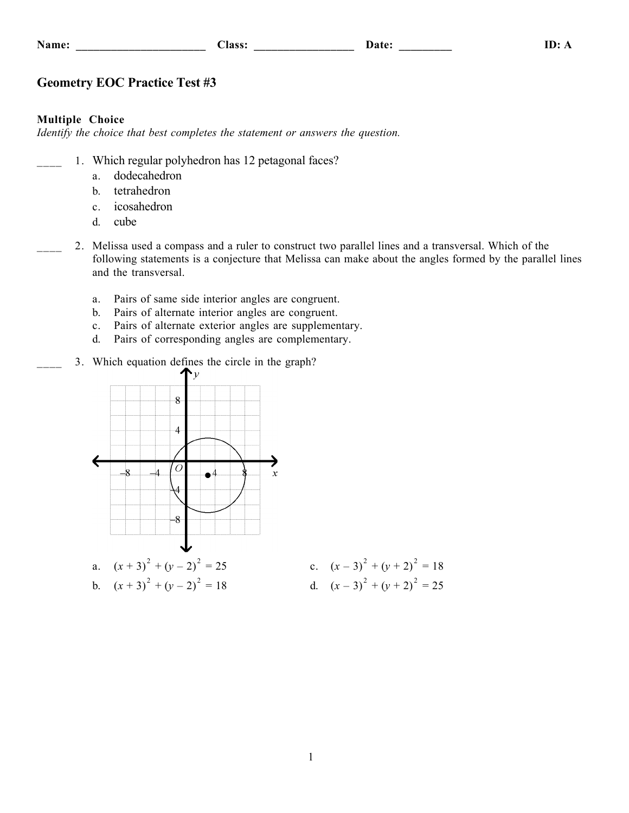| <b>Name:</b> |  |  |  |
|--------------|--|--|--|
|              |  |  |  |

# **Geometry EOC Practice Test #3**

### **Multiple Choice**

*Identify the choice that best completes the statement or answers the question.*

- 1. Which regular polyhedron has 12 petagonal faces?
	- a. dodecahedron
	- b. tetrahedron
	- c. icosahedron
	- d. cube
- \_\_\_\_ 2. Melissa used a compass and a ruler to construct two parallel lines and a transversal. Which of the following statements is a conjecture that Melissa can make about the angles formed by the parallel lines and the transversal.
	- a. Pairs of same side interior angles are congruent.
	- b. Pairs of alternate interior angles are congruent.
	- c. Pairs of alternate exterior angles are supplementary.
	- d. Pairs of corresponding angles are complementary.
	- 3. Which equation defines the circle in the graph?

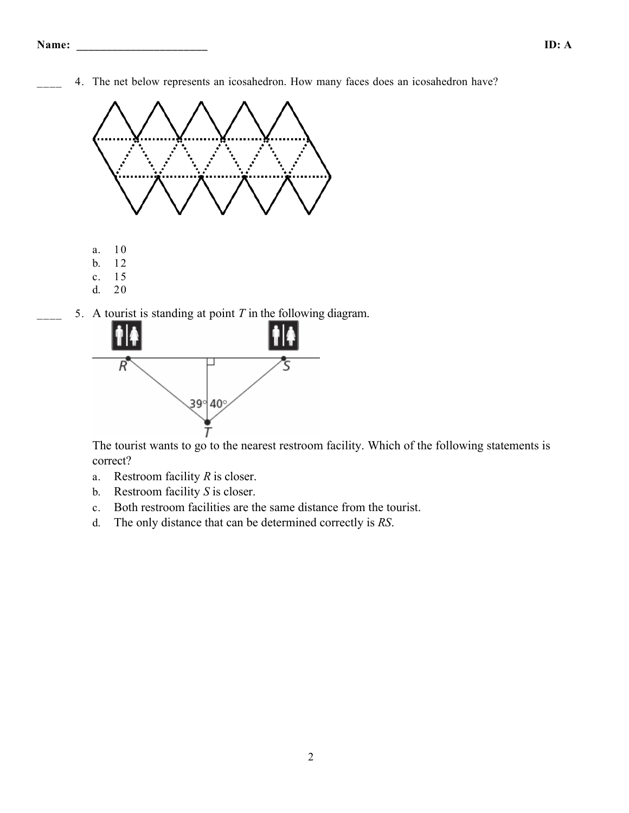4. The net below represents an icosahedron. How many faces does an icosahedron have?



5. A tourist is standing at point *T* in the following diagram.



The tourist wants to go to the nearest restroom facility. Which of the following statements is correct?

- a. Restroom facility *R* is closer.
- b. Restroom facility *S* is closer.
- c. Both restroom facilities are the same distance from the tourist.
- d. The only distance that can be determined correctly is *RS*.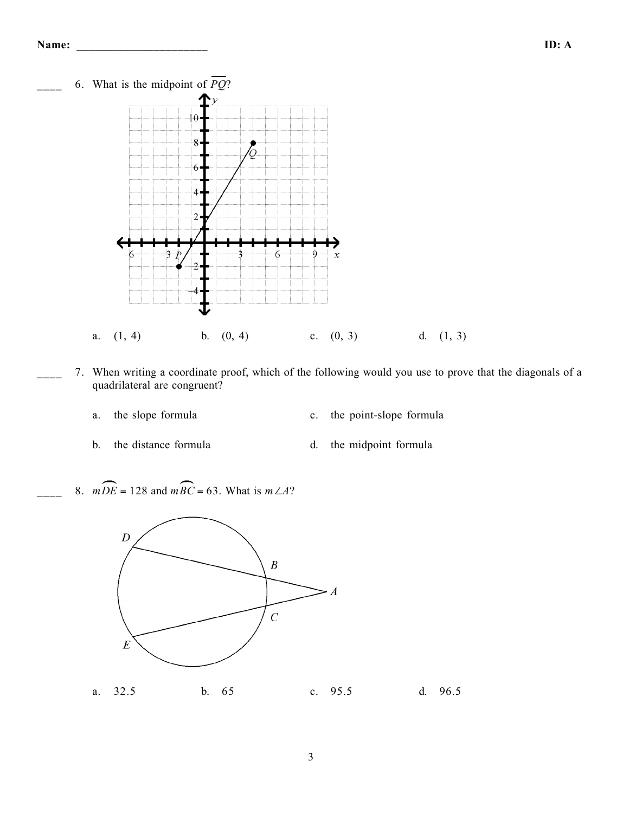

- \_\_\_\_ 7. When writing a coordinate proof, which of the following would you use to prove that the diagonals of a quadrilateral are congruent?
	- a. the slope formula c. the point-slope formula
	- b. the distance formula d. the midpoint formula
		-
- 8. *m* $DE = 128$  and *mBC* = 63. What is *m*∠*A*?

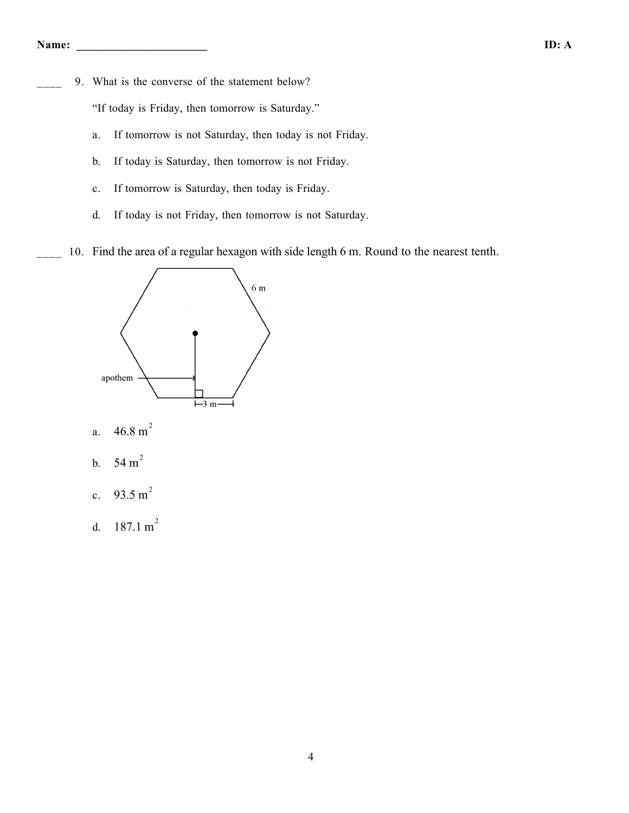9. What is the converse of the statement below?

"If today is Friday, then tomorrow is Saturday."

- a. If tomorrow is not Saturday, then today is not Friday.
- b. If today is Saturday, then tomorrow is not Friday.
- c. If tomorrow is Saturday, then today is Friday.
- d. If today is not Friday, then tomorrow is not Saturday.
- 10. Find the area of a regular hexagon with side length 6 m. Round to the nearest tenth.



- a.  $46.8 \text{ m}^2$
- b.  $54 \text{ m}^2$
- c. 93.5 m<sup>2</sup>
- d.  $187.1 \text{ m}^2$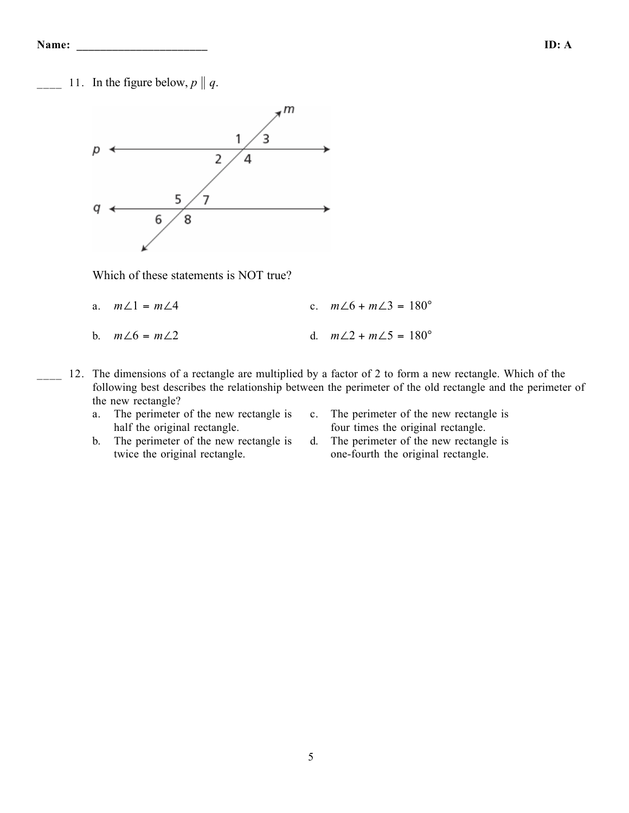11. In the figure below,  $p \parallel q$ .



Which of these statements is NOT true?

- a.  $m\angle 1 = m\angle 4$  c.  $m\angle 6 + m\angle 3 = 180^{\circ}$
- b.  $m∠6 = m∠2$  d.  $m∠2 + m∠5 = 180°$
- 12. The dimensions of a rectangle are multiplied by a factor of 2 to form a new rectangle. Which of the following best describes the relationship between the perimeter of the old rectangle and the perimeter of the new rectangle?
	- a. The perimeter of the new rectangle is half the original rectangle.
- c. The perimeter of the new rectangle is four times the original rectangle.
- b. The perimeter of the new rectangle is twice the original rectangle.
- d. The perimeter of the new rectangle is one-fourth the original rectangle.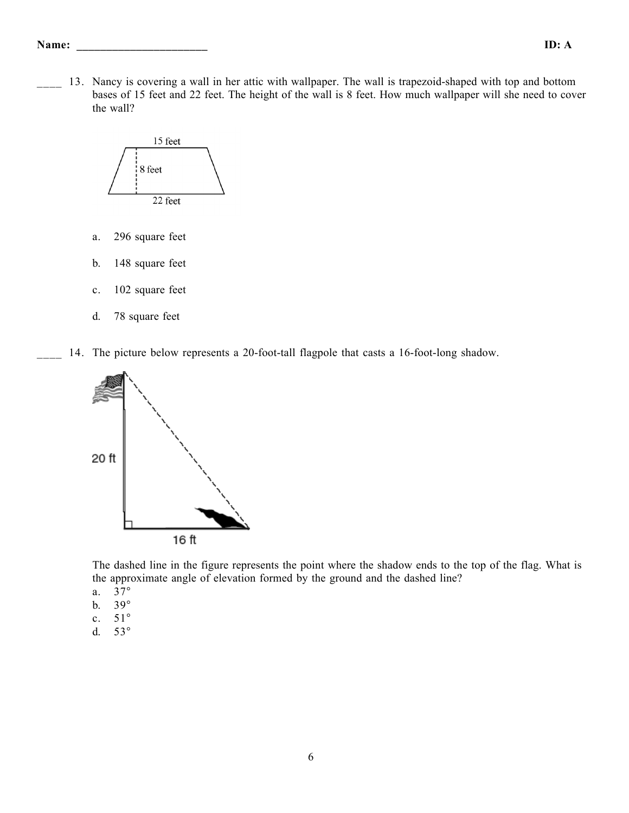#### **Name: \_\_\_\_\_\_\_\_\_\_\_\_\_\_\_\_\_\_\_\_\_\_ ID: A**

13. Nancy is covering a wall in her attic with wallpaper. The wall is trapezoid-shaped with top and bottom bases of 15 feet and 22 feet. The height of the wall is 8 feet. How much wallpaper will she need to cover the wall?



- a. 296 square feet
- b. 148 square feet
- c. 102 square feet
- d. 78 square feet
- 14. The picture below represents a 20-foot-tall flagpole that casts a 16-foot-long shadow.



The dashed line in the figure represents the point where the shadow ends to the top of the flag. What is the approximate angle of elevation formed by the ground and the dashed line?

- a. 37°
- b. 39°
- c. 51°
- d. 53°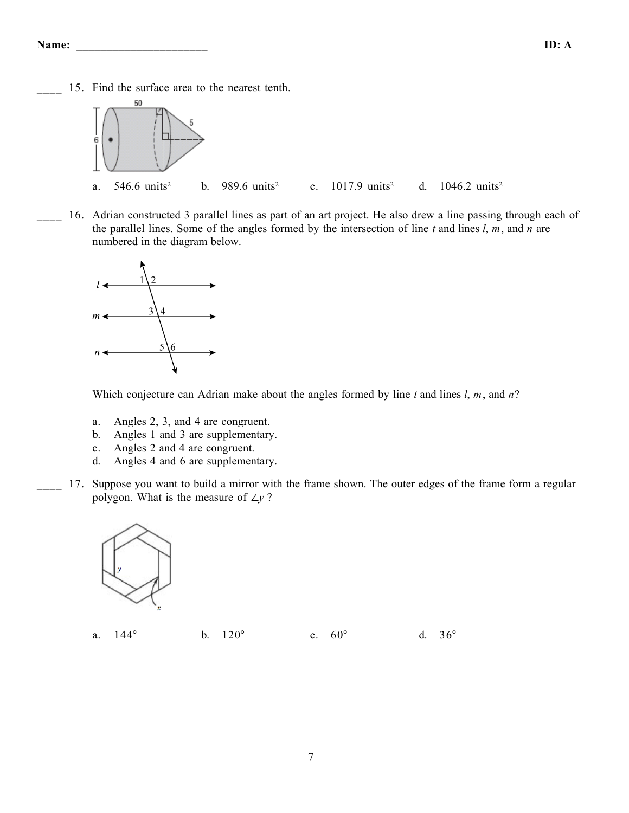15. Find the surface area to the nearest tenth.



16. Adrian constructed 3 parallel lines as part of an art project. He also drew a line passing through each of the parallel lines. Some of the angles formed by the intersection of line *t* and lines *l*, *m*, and *n* are numbered in the diagram below.



Which conjecture can Adrian make about the angles formed by line *t* and lines *l*, *m*, and *n*?

- a. Angles 2, 3, and 4 are congruent.
- b. Angles 1 and 3 are supplementary.
- c. Angles 2 and 4 are congruent.
- d. Angles 4 and 6 are supplementary.
- 17. Suppose you want to build a mirror with the frame shown. The outer edges of the frame form a regular polygon. What is the measure of ∠*y* ?



| a. 144° | b. $120^{\circ}$ | c. $60^{\circ}$ | d. $36^{\circ}$ |  |
|---------|------------------|-----------------|-----------------|--|
|         |                  |                 |                 |  |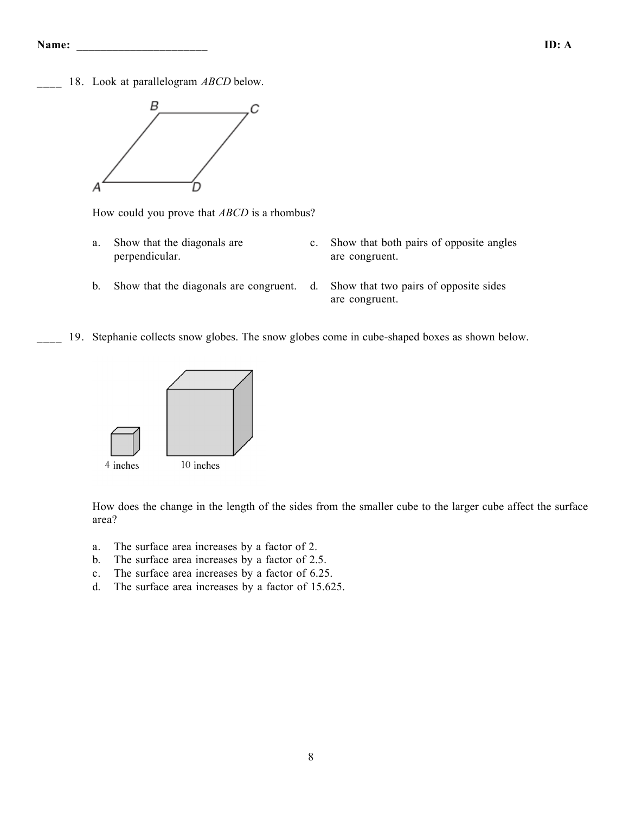18. Look at parallelogram *ABCD* below.



How could you prove that *ABCD* is a rhombus?

- a. Show that the diagonals are perpendicular.
- c. Show that both pairs of opposite angles are congruent.
- b. Show that the diagonals are congruent. d. Show that two pairs of opposite sides
	- are congruent.
- 19. Stephanie collects snow globes. The snow globes come in cube-shaped boxes as shown below.



How does the change in the length of the sides from the smaller cube to the larger cube affect the surface area?

- a. The surface area increases by a factor of 2.
- b. The surface area increases by a factor of 2.5.
- c. The surface area increases by a factor of 6.25.
- d. The surface area increases by a factor of 15.625.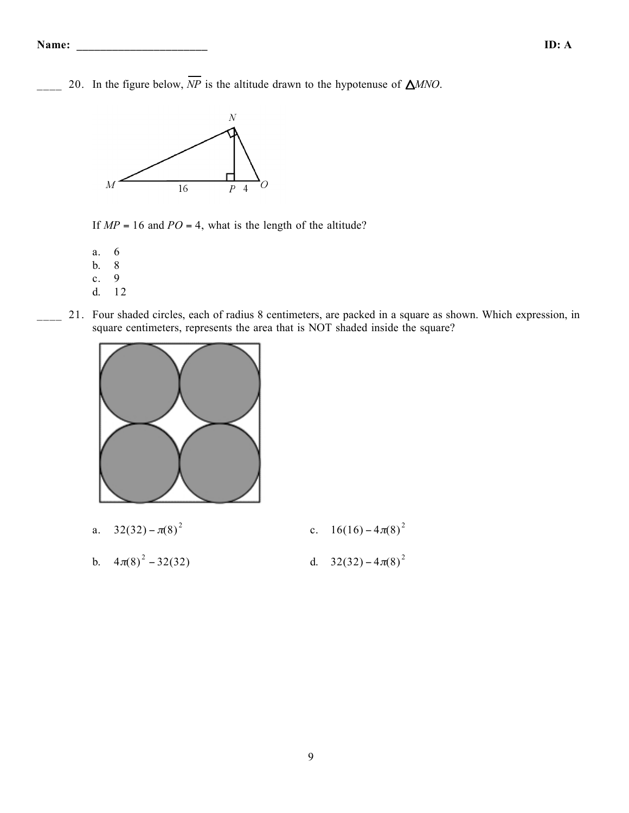20. In the figure below,  $\overline{NP}$  is the altitude drawn to the hypotenuse of  $\triangle MNO$ .



If  $MP = 16$  and  $PO = 4$ , what is the length of the altitude?

a. 6

- b.  $8$ <br>c. 9
- $c$ .
- d. 12
- 21. Four shaded circles, each of radius 8 centimeters, are packed in a square as shown. Which expression, in square centimeters, represents the area that is NOT shaded inside the square?



a.  $32(32) - \pi(8)^2$ c.  $16(16) - 4\pi(8)^2$ b.  $4\pi(8)^2 - 32(32)$  $a^2 - 32(32)$  d.  $32(32) - 4\pi(8)^2$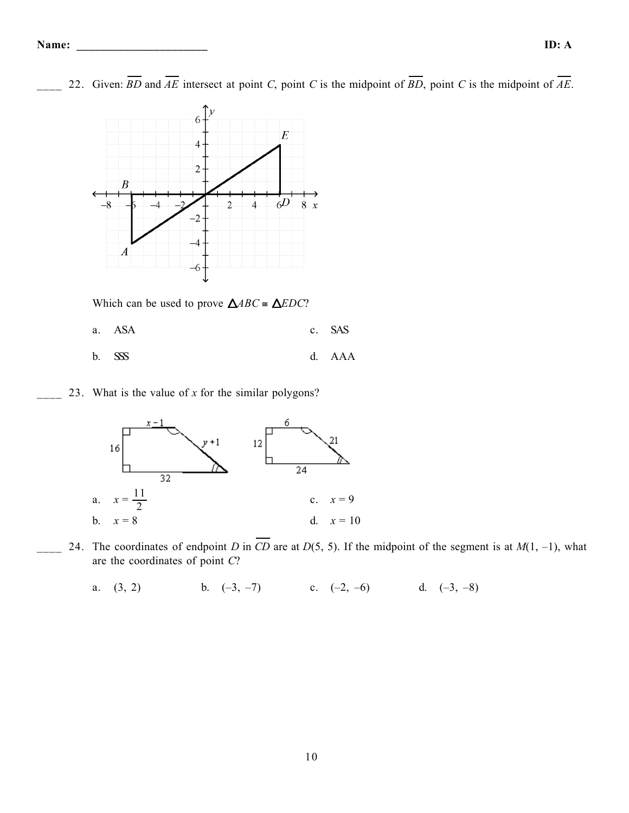

22. Given:  $\overline{BD}$  and  $\overline{AE}$  intersect at point *C*, point *C* is the midpoint of  $\overline{BD}$ , point *C* is the midpoint of  $\overline{AE}$ .

Which can be used to prove  $\triangle ABC \cong \triangle EDC$ ?

- a. ASA c. SAS b. SSS d. AAA
- \_\_\_\_ 23. What is the value of *x* for the similar polygons?



24. The coordinates of endpoint *D* in  $\overline{CD}$  are at *D*(5, 5). If the midpoint of the segment is at *M*(1, -1), what are the coordinates of point *C*?

a.  $(3, 2)$  b.  $(-3, -7)$  c.  $(-2, -6)$  d.  $(-3, -8)$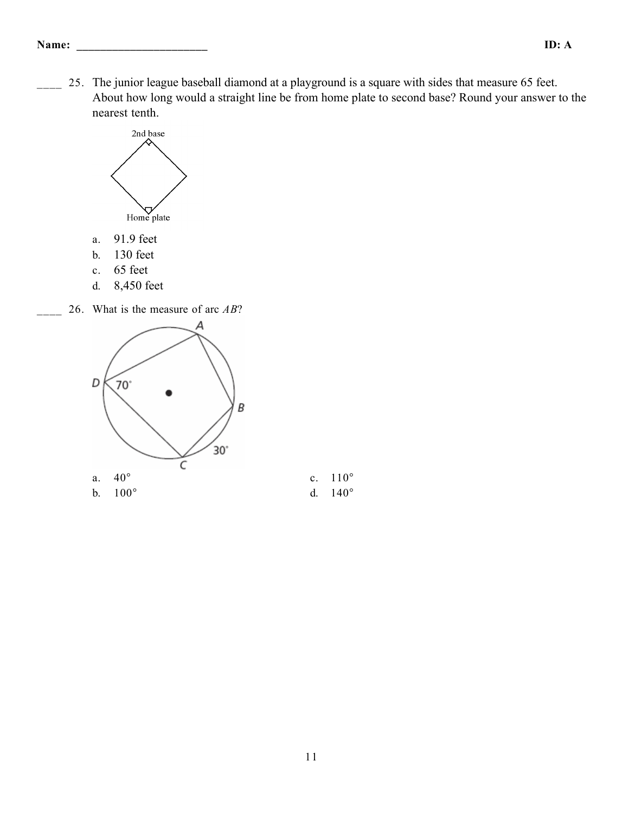25. The junior league baseball diamond at a playground is a square with sides that measure 65 feet. About how long would a straight line be from home plate to second base? Round your answer to the nearest tenth.



- a. 91.9 feet
- b. 130 feet
- c. 65 feet
- d. 8,450 feet

\_\_\_\_ 26. What is the measure of arc *AB*?

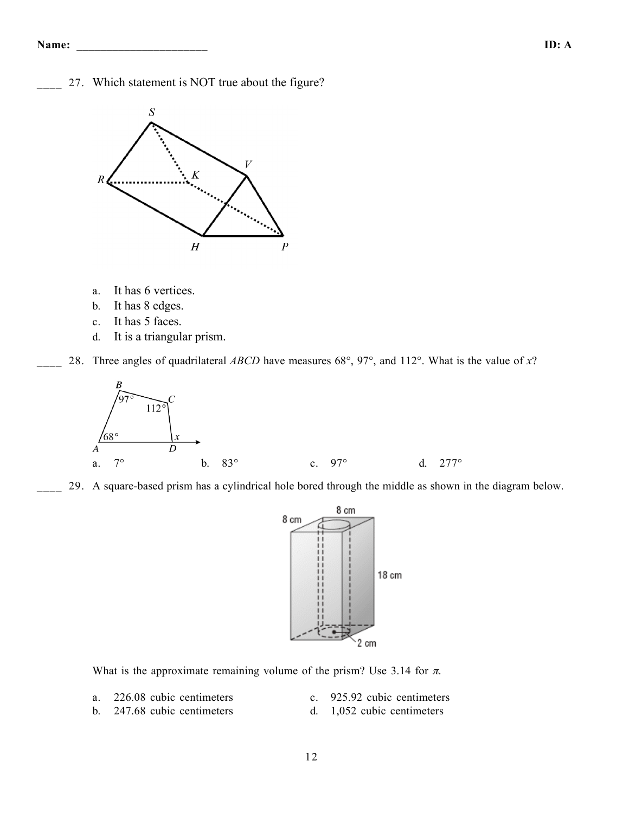27. Which statement is NOT true about the figure?



- a. It has 6 vertices.
- b. It has 8 edges.
- c. It has 5 faces.
- d. It is a triangular prism.

\_\_\_\_ 28. Three angles of quadrilateral *ABCD* have measures 68°, 97°, and 112°. What is the value of *x*?



\_\_\_\_ 29. A square-based prism has a cylindrical hole bored through the middle as shown in the diagram below.



What is the approximate remaining volume of the prism? Use 3.14 for  $\pi$ .

- 
- a. 226.08 cubic centimeters c. 925.92 cubic centimeters
- b. 247.68 cubic centimeters d. 1,052 cubic centimeters
-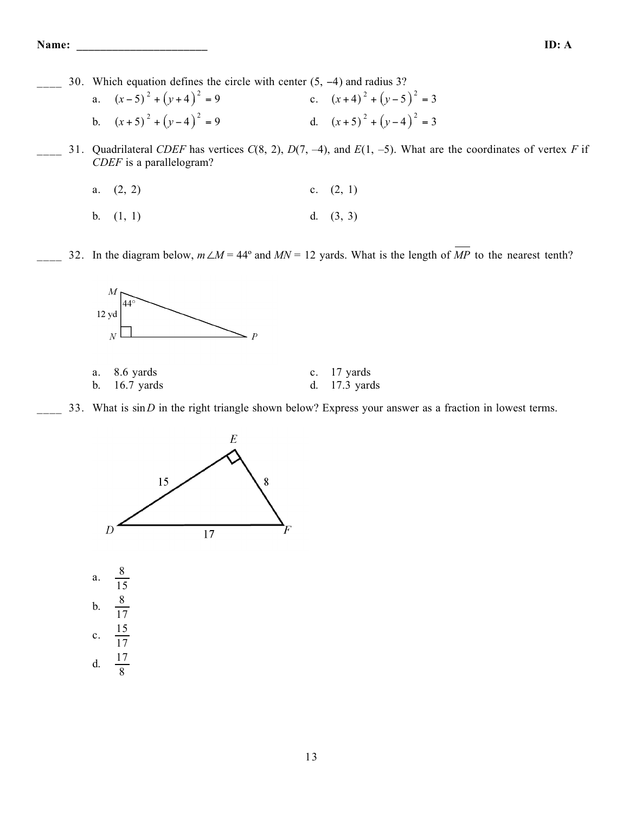\_\_\_\_ 30. Which equation defines the circle with center (5, −4) and radius 3?

| a. $(x-5)^2 + (y+4)^2 = 9$ | c. $(x+4)^2 + (y-5)^2 = 3$ |
|----------------------------|----------------------------|
| b. $(x+5)^2 + (y-4)^2 = 9$ | d. $(x+5)^2 + (y-4)^2 = 3$ |

\_\_\_\_ 31. Quadrilateral *CDEF* has vertices *C*(8, 2), *D*(7, –4), and *E*(1, –5). What are the coordinates of vertex *F* if *CDEF* is a parallelogram?

a. 
$$
(2, 2)
$$
 c.  $(2, 1)$ 

- b.  $(1, 1)$  d.  $(3, 3)$
- 32. In the diagram below,  $m\angle M = 44^\circ$  and  $MN = 12$  yards. What is the length of  $\overline{MP}$  to the nearest tenth?



| a. $8.6$ yards  | c. $17$ yards   |
|-----------------|-----------------|
| b. $16.7$ yards | d. $17.3$ yards |

33. What is sin *D* in the right triangle shown below? Express your answer as a fraction in lowest terms.



a. 8 15 b.  $\frac{8}{15}$ 17 c. 15 17 d.  $\frac{17}{9}$ 8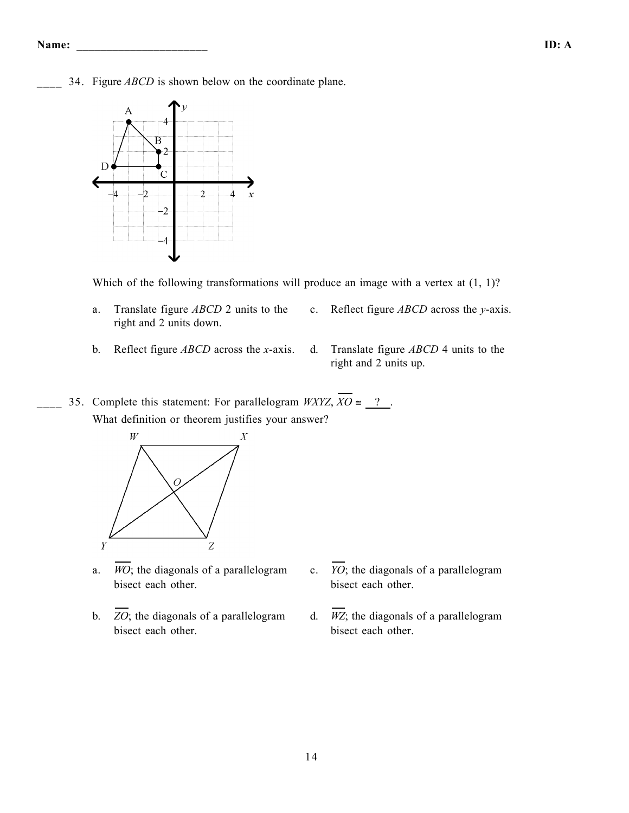34. Figure *ABCD* is shown below on the coordinate plane.



Which of the following transformations will produce an image with a vertex at  $(1, 1)$ ?

- a. Translate figure *ABCD* 2 units to the right and 2 units down.
- c. Reflect figure *ABCD* across the *y*-axis.
- b. Reflect figure *ABCD* across the *x*-axis. d. Translate figure *ABCD* 4 units to the
	- right and 2 units up.
- 35. Complete this statement: For parallelogram *WXYZ*,  $\overline{XO} \cong ?$ . What definition or theorem justifies your answer?



- a.  $\overline{WO}$ ; the diagonals of a parallelogram bisect each other.
- b.  $\overline{ZO}$ ; the diagonals of a parallelogram bisect each other.
- c. *YO*; the diagonals of a parallelogram bisect each other.
- d.  $\overline{WZ}$ ; the diagonals of a parallelogram bisect each other.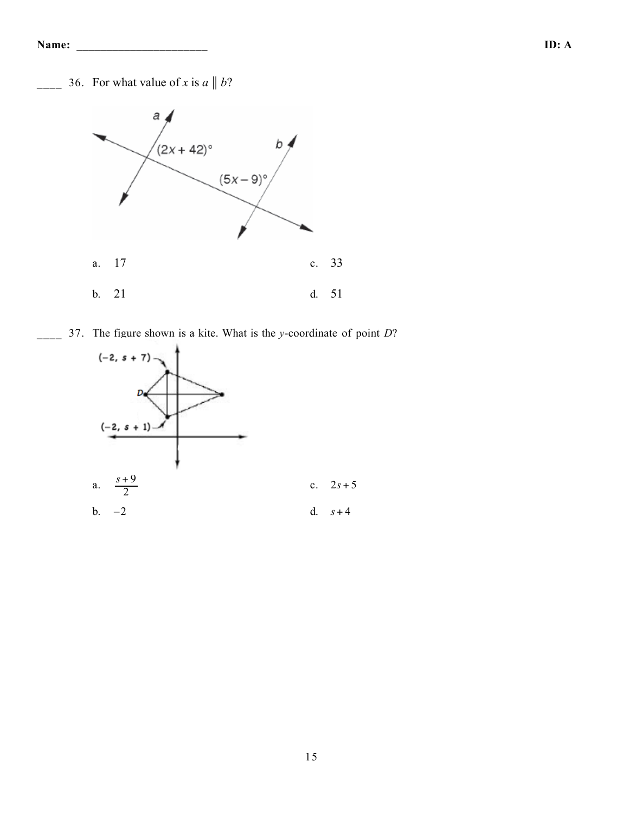36. For what value of *x* is  $a \parallel b$ ?



\_\_\_\_ 37. The figure shown is a kite. What is the *y*-coordinate of point *D*?

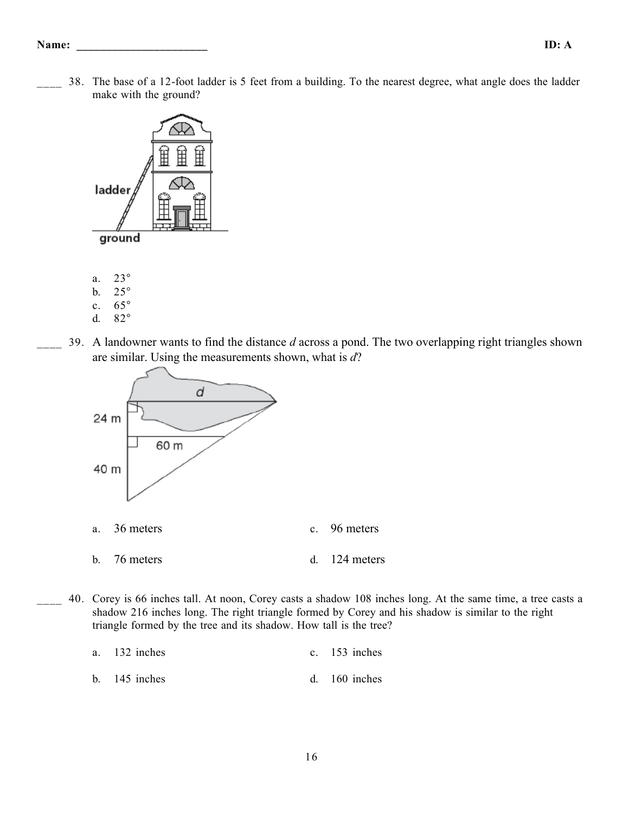\_\_\_\_ 38. The base of a 12-foot ladder is 5 feet from a building. To the nearest degree, what angle does the ladder make with the ground?



- 
- b. 25° c. 65°
- d. 82°
- 
- \_\_\_\_ 39. A landowner wants to find the distance *d* across a pond. The two overlapping right triangles shown are similar. Using the measurements shown, what is *d*?



40. Corey is 66 inches tall. At noon, Corey casts a shadow 108 inches long. At the same time, a tree casts a shadow 216 inches long. The right triangle formed by Corey and his shadow is similar to the right triangle formed by the tree and its shadow. How tall is the tree?

a. 132 inches c. 153 inches b. 145 inches d. 160 inches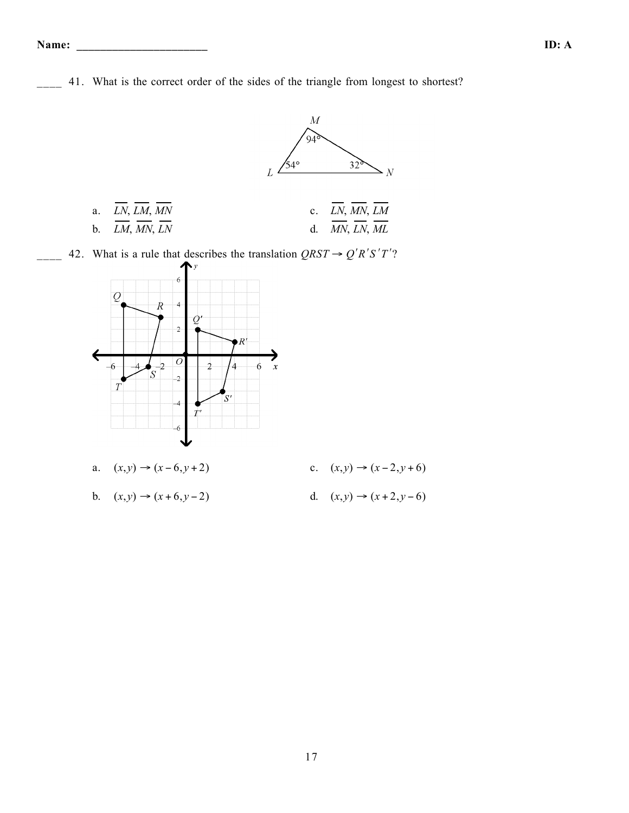

$$
b. \quad (x, y) \rightarrow (x + 6, y - 2)
$$

- 
- d.  $(x, y)$  →  $(x + 2, y 6)$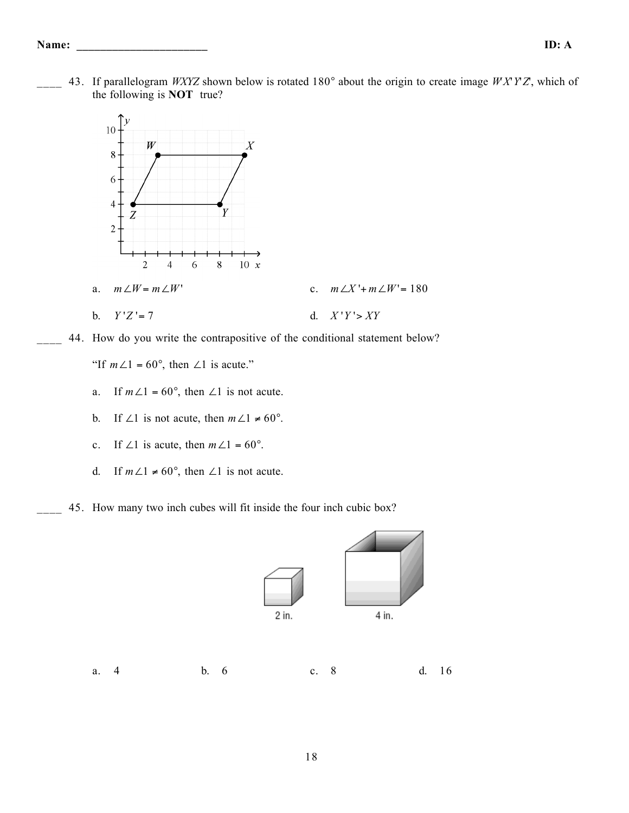\_\_\_\_ 43. If parallelogram *WXYZ* shown below is rotated 180° about the origin to create image *W*'*X*'*Y*'*Z*', which of the following is **NOT** true?



44. How do you write the contrapositive of the conditional statement below?

"If  $m\angle 1 = 60^\circ$ , then  $\angle 1$  is acute."

- a. If  $m\angle 1 = 60^\circ$ , then  $\angle 1$  is not acute.
- b. If ∠1 is not acute, then  $m\angle 1 \neq 60^\circ$ .
- c. If ∠1 is acute, then  $m\angle 1 = 60^\circ$ .
- d. If  $m\angle 1 \neq 60^{\circ}$ , then  $\angle 1$  is not acute.
- 45. How many two inch cubes will fit inside the four inch cubic box?

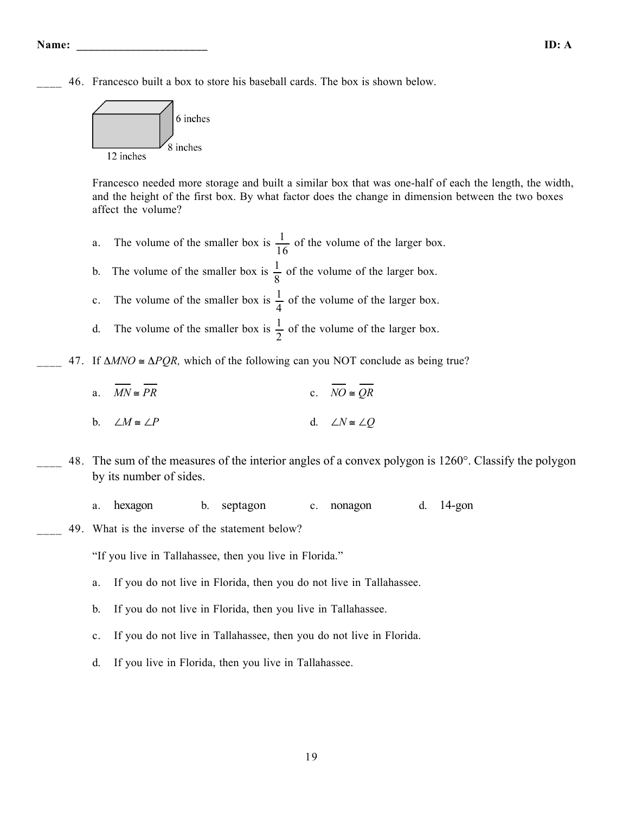**Name: \_\_\_\_\_\_\_\_\_\_\_\_\_\_\_\_\_\_\_\_\_\_ ID: A**

\_\_\_\_ 46. Francesco built a box to store his baseball cards. The box is shown below.



Francesco needed more storage and built a similar box that was one-half of each the length, the width, and the height of the first box. By what factor does the change in dimension between the two boxes affect the volume?

- a. The volume of the smaller box is  $\frac{1}{1}$ 16 of the volume of the larger box.
- b. The volume of the smaller box is  $\frac{1}{2}$ 8 of the volume of the larger box.
- c. The volume of the smaller box is  $\frac{1}{4}$ 4 of the volume of the larger box.
- d. The volume of the smaller box is  $\frac{1}{2}$ 2 of the volume of the larger box.
- $47.$  If  $\triangle MNO \cong \triangle PQR$ , which of the following can you NOT conclude as being true?
	- a.  $\overline{MN} \cong \overline{PR}$  c.  $\overline{NO} \cong \overline{OR}$
	- b. ∠*M* ≅ ∠*P* d. ∠*N* ≅ ∠*Q*
- \_\_\_\_ 48. The sum of the measures of the interior angles of a convex polygon is 1260°. Classify the polygon by its number of sides.
	- a. hexagon b. septagon c. nonagon d. 14-gon
- 49. What is the inverse of the statement below?
	- "If you live in Tallahassee, then you live in Florida."
	- a. If you do not live in Florida, then you do not live in Tallahassee.
	- b. If you do not live in Florida, then you live in Tallahassee.
	- c. If you do not live in Tallahassee, then you do not live in Florida.
	- d. If you live in Florida, then you live in Tallahassee.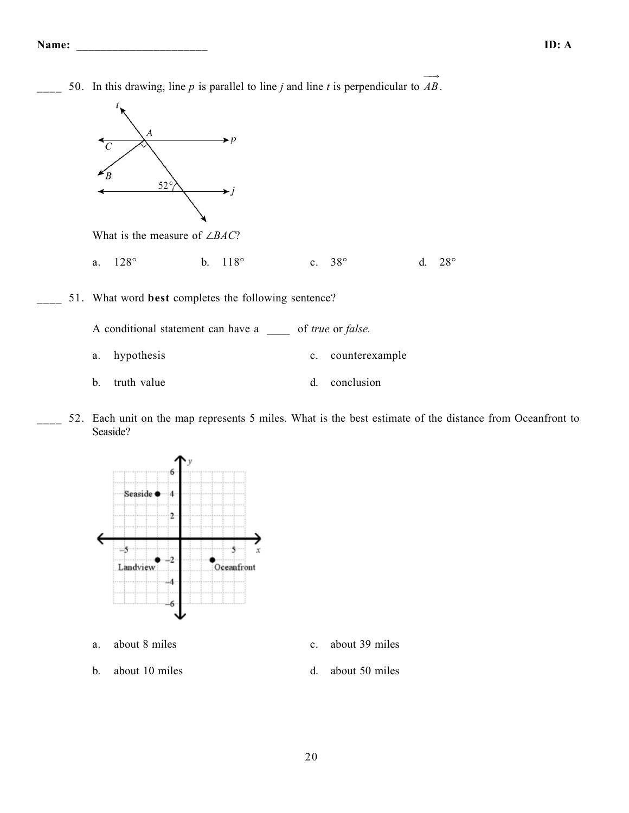50. In this drawing, line *p* is parallel to line *j* and line *t* is perpendicular to  $\overrightarrow{AB}$ .



What is the measure of ∠*BAC*?

- a. 128° b. 118° c. 38° d. 28°
- \_\_\_\_ 51. What word **best** completes the following sentence?

A conditional statement can have a \_\_\_\_ of *true* or *false.*

- a. hypothesis c. counterexample
- b. truth value d. conclusion
- 52. Each unit on the map represents 5 miles. What is the best estimate of the distance from Oceanfront to Seaside?



- a. about 8 miles c. about 39 miles
- b. about 10 miles d. about 50 miles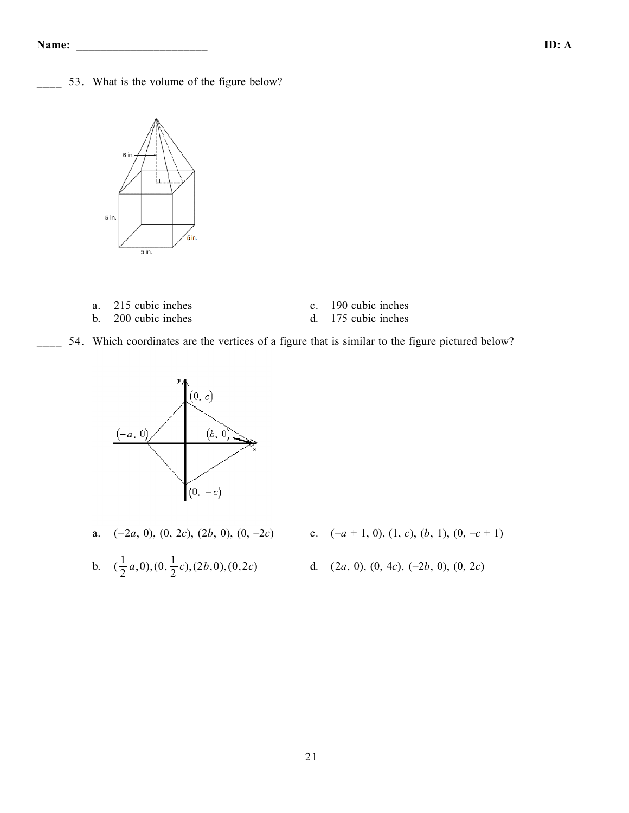53. What is the volume of the figure below?



| a. 215 cubic inches | c. 190 cubic inches |
|---------------------|---------------------|
| b. 200 cubic inches | d. 175 cubic inches |

54. Which coordinates are the vertices of a figure that is similar to the figure pictured below?



a. (–2*a*, 0), (0, 2*c*), (2*b*, 0), (0, –2*c*) c. (–*a* + 1, 0), (1, *c*), (*b*, 1), (0, –*c* + 1)

b. 
$$
(\frac{1}{2}a,0),(0,\frac{1}{2}c),(2b,0),(0,2c)
$$

- 
- <sup>2</sup> *<sup>c</sup>*),(2*b*,0),(0,2*c*) d. (2*a*, 0), (0, 4*c*), (–2*b*, 0), (0, 2*c*)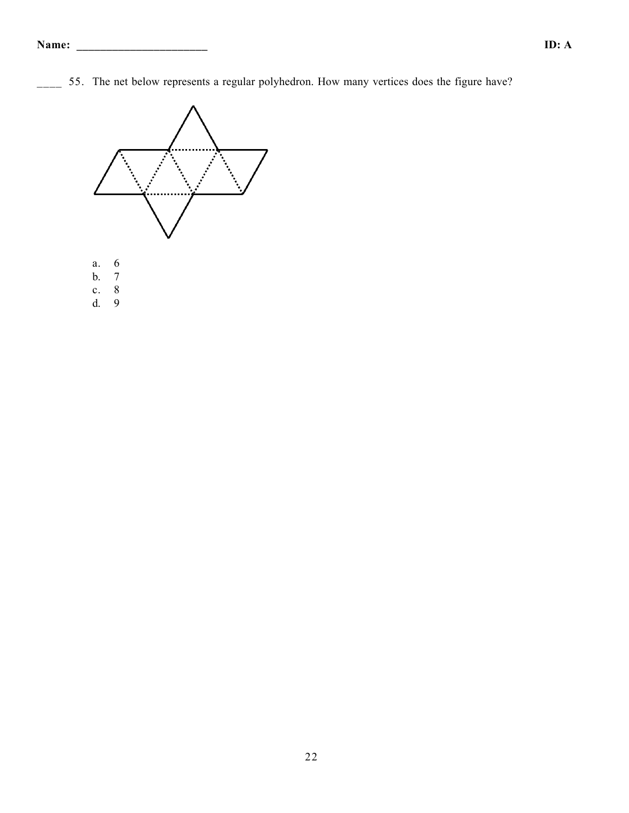\_\_\_\_ 55. The net below represents a regular polyhedron. How many vertices does the figure have?

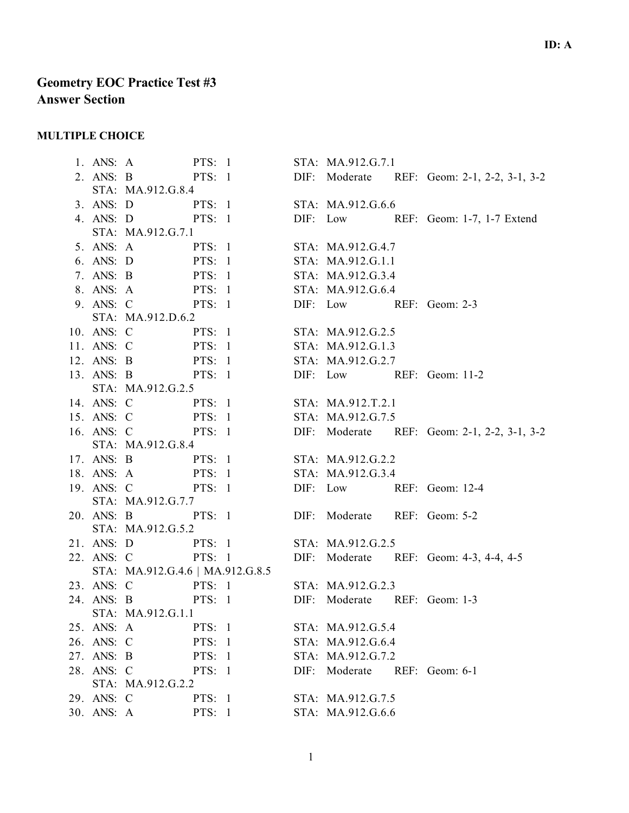## **Geometry EOC Practice Test #3 Answer Section**

### **MULTIPLE CHOICE**

1. ANS: A PTS: 1 STA: MA.912.G.7.1 2. ANS: B PTS: 1 DIF: Moderate REF: Geom: 2-1, 2-2, 3-1, 3-2 STA: MA.912.G.8.4 3. ANS: D PTS: 1 STA: MA.912.G.6.6 4. ANS: D PTS: 1 DIF: Low REF: Geom: 1-7, 1-7 Extend STA: MA.912.G.7.1 5. ANS: A PTS: 1 STA: MA.912.G.4.7 6. ANS: D PTS: 1 STA: MA.912.G.1.1 7. ANS: B PTS: 1 STA: MA.912.G.3.4 8. ANS: A PTS: 1 STA: MA.912.G.6.4 9. ANS: C PTS: 1 DIF: Low REF: Geom: 2-3 STA: MA.912.D.6.2 10. ANS: C PTS: 1 STA: MA.912.G.2.5 11. ANS: C PTS: 1 STA: MA.912.G.1.3 12. ANS: B PTS: 1 STA: MA.912.G.2.7 13. ANS: B PTS: 1 DIF: Low REF: Geom: 11-2 STA: MA.912.G.2.5 14. ANS: C PTS: 1 STA: MA.912.T.2.1 15. ANS: C PTS: 1 STA: MA.912.G.7.5 16. ANS: C PTS: 1 DIF: Moderate REF: Geom: 2-1, 2-2, 3-1, 3-2 STA: MA.912.G.8.4 17. ANS: B PTS: 1 STA: MA.912.G.2.2 18. ANS: A PTS: 1 STA: MA.912.G.3.4 19. ANS: C PTS: 1 DIF: Low REF: Geom: 12-4 STA: MA.912.G.7.7 20. ANS: B PTS: 1 DIF: Moderate REF: Geom: 5-2 STA: MA.912.G.5.2 21. ANS: D PTS: 1 STA: MA.912.G.2.5 22. ANS: C PTS: 1 DIF: Moderate REF: Geom: 4-3, 4-4, 4-5 STA: MA.912.G.4.6 | MA.912.G.8.5 23. ANS: C PTS: 1 STA: MA.912.G.2.3 24. ANS: B PTS: 1 DIF: Moderate REF: Geom: 1-3 STA: MA.912.G.1.1 25. ANS: A PTS: 1 STA: MA.912.G.5.4 26. ANS: C PTS: 1 STA: MA.912.G.6.4 27. ANS: B PTS: 1 STA: MA.912.G.7.2 28. ANS: C PTS: 1 DIF: Moderate REF: Geom: 6-1 STA: MA.912.G.2.2 29. ANS: C PTS: 1 STA: MA.912.G.7.5 30. ANS: A PTS: 1 STA: MA.912.G.6.6